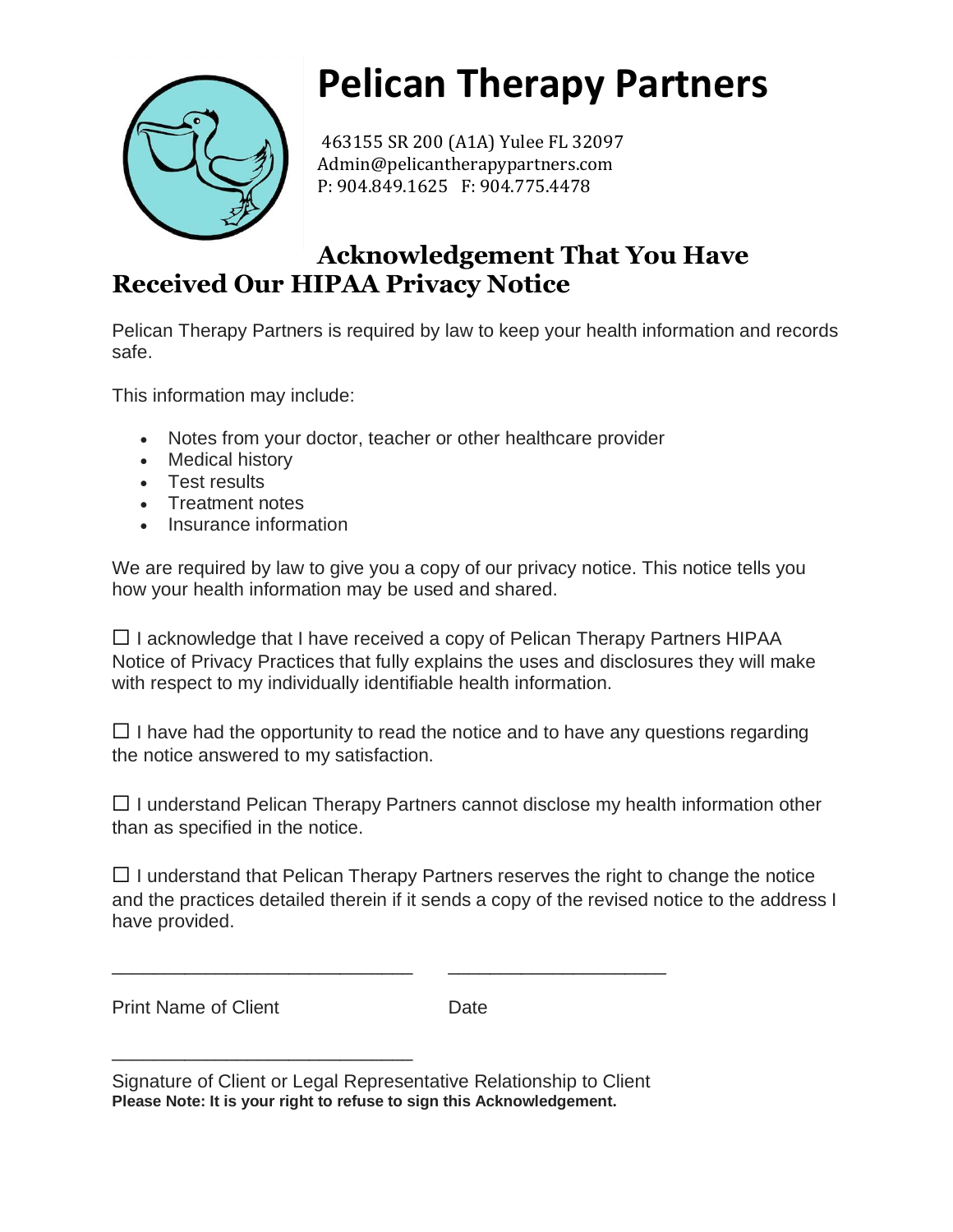

## **Pelican Therapy Partners**

463155 SR 200 (A1A) Yulee FL 32097 Admin@pelicantherapypartners.com P: 904.849.1625 F: 904.775.4478

## **Acknowledgement That You Have Received Our HIPAA Privacy Notice**

Pelican Therapy Partners is required by law to keep your health information and records safe.

This information may include:

- Notes from your doctor, teacher or other healthcare provider
- Medical history
- Test results
- Treatment notes
- Insurance information

We are required by law to give you a copy of our privacy notice. This notice tells you how your health information may be used and shared.

 $\Box$  I acknowledge that I have received a copy of Pelican Therapy Partners HIPAA Notice of Privacy Practices that fully explains the uses and disclosures they will make with respect to my individually identifiable health information.

 $\Box$  I have had the opportunity to read the notice and to have any questions regarding the notice answered to my satisfaction.

 $\Box$  I understand Pelican Therapy Partners cannot disclose my health information other than as specified in the notice.

 $\Box$  I understand that Pelican Therapy Partners reserves the right to change the notice and the practices detailed therein if it sends a copy of the revised notice to the address I have provided.

Print Name of Client **Date** 

\_\_\_\_\_\_\_\_\_\_\_\_\_\_\_\_\_\_\_\_\_\_\_\_\_\_\_\_\_

\_\_\_\_\_\_\_\_\_\_\_\_\_\_\_\_\_\_\_\_\_\_\_\_\_\_\_\_\_ \_\_\_\_\_\_\_\_\_\_\_\_\_\_\_\_\_\_\_\_\_

Signature of Client or Legal Representative Relationship to Client **Please Note: It is your right to refuse to sign this Acknowledgement.**